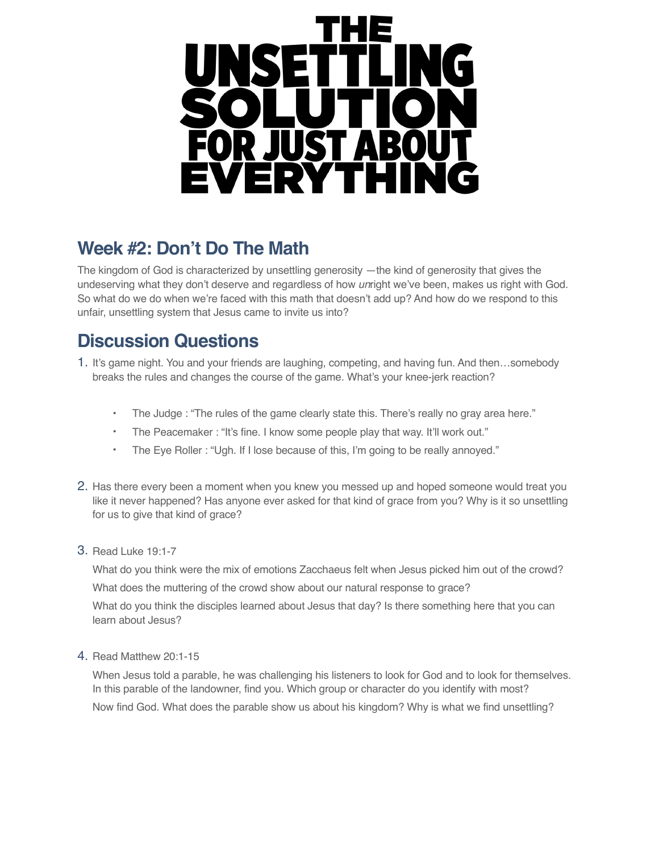

## **Week #2: Don't Do The Math**

The kingdom of God is characterized by unsettling generosity —the kind of generosity that gives the undeserving what they don't deserve and regardless of how *un*right we've been, makes us right with God. So what do we do when we're faced with this math that doesn't add up? And how do we respond to this unfair, unsettling system that Jesus came to invite us into?

## **Discussion Questions**

- 1. It's game night. You and your friends are laughing, competing, and having fun. And then…somebody breaks the rules and changes the course of the game. What's your knee-jerk reaction?
	- The Judge : "The rules of the game clearly state this. There's really no gray area here."
	- The Peacemaker : "It's fine. I know some people play that way. It'll work out."
	- The Eye Roller : "Ugh. If I lose because of this, I'm going to be really annoyed."
- 2. Has there every been a moment when you knew you messed up and hoped someone would treat you like it never happened? Has anyone ever asked for that kind of grace from you? Why is it so unsettling for us to give that kind of grace?
- 3. Read Luke 19:1-7

What do you think were the mix of emotions Zacchaeus felt when Jesus picked him out of the crowd? What does the muttering of the crowd show about our natural response to grace?

What do you think the disciples learned about Jesus that day? Is there something here that you can learn about Jesus?

4. Read Matthew 20:1-15

When Jesus told a parable, he was challenging his listeners to look for God and to look for themselves. In this parable of the landowner, find you. Which group or character do you identify with most? Now find God. What does the parable show us about his kingdom? Why is what we find unsettling?